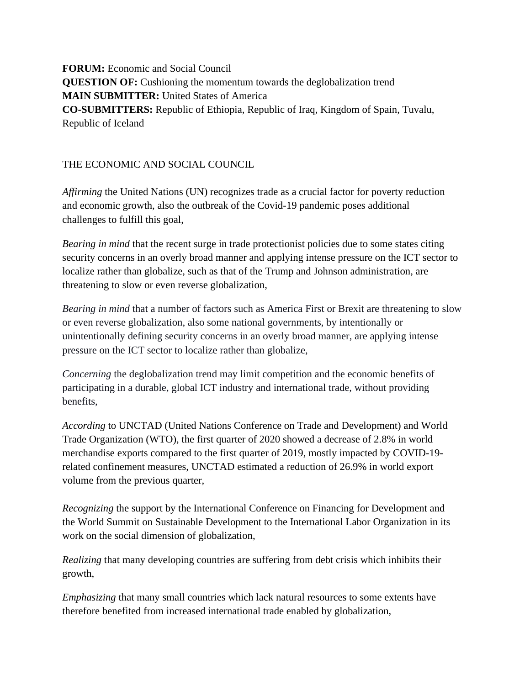**FORUM:** Economic and Social Council **QUESTION OF:** Cushioning the momentum towards the deglobalization trend **MAIN SUBMITTER:** United States of America **CO-SUBMITTERS:** Republic of Ethiopia, Republic of Iraq, Kingdom of Spain, Tuvalu, Republic of Iceland

## THE ECONOMIC AND SOCIAL COUNCIL

*Affirming* the United Nations (UN) recognizes trade as a crucial factor for poverty reduction and economic growth, also the outbreak of the Covid-19 pandemic poses additional challenges to fulfill this goal,

*Bearing in mind* that the recent surge in trade protectionist policies due to some states citing security concerns in an overly broad manner and applying intense pressure on the ICT sector to localize rather than globalize, such as that of the Trump and Johnson administration, are threatening to slow or even reverse globalization,

*Bearing in mind* that a number of factors such as America First or Brexit are threatening to slow or even reverse globalization, also some national governments, by intentionally or unintentionally defining security concerns in an overly broad manner, are applying intense pressure on the ICT sector to localize rather than globalize,

*Concerning* the deglobalization trend may limit competition and the economic benefits of participating in a durable, global ICT industry and international trade, without providing benefits,

*According* to UNCTAD (United Nations Conference on Trade and Development) and World Trade Organization (WTO), the first quarter of 2020 showed a decrease of 2.8% in world merchandise exports compared to the first quarter of 2019, mostly impacted by COVID-19 related confinement measures, UNCTAD estimated a reduction of 26.9% in world export volume from the previous quarter,

*Recognizing* the support by the International Conference on Financing for Development and the World Summit on Sustainable Development to the International Labor Organization in its work on the social dimension of globalization,

*Realizing* that many developing countries are suffering from debt crisis which inhibits their growth,

*Emphasizing* that many small countries which lack natural resources to some extents have therefore benefited from increased international trade enabled by globalization,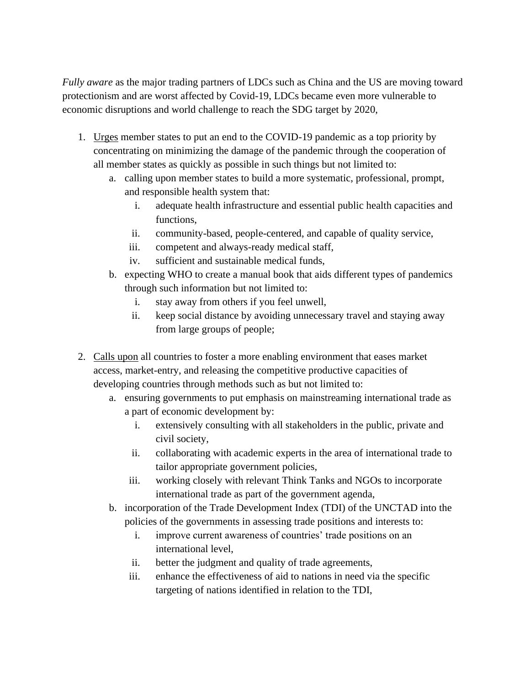*Fully aware* as the major trading partners of LDCs such as China and the US are moving toward protectionism and are worst affected by Covid-19, LDCs became even more vulnerable to economic disruptions and world challenge to reach the SDG target by 2020,

- 1. Urges member states to put an end to the COVID-19 pandemic as a top priority by concentrating on minimizing the damage of the pandemic through the cooperation of all member states as quickly as possible in such things but not limited to:
	- a. calling upon member states to build a more systematic, professional, prompt, and responsible health system that:
		- i. adequate health infrastructure and essential public health capacities and functions,
		- ii. community-based, people-centered, and capable of quality service,
		- iii. competent and always-ready medical staff,
		- iv. sufficient and sustainable medical funds,
	- b. expecting WHO to create a manual book that aids different types of pandemics through such information but not limited to:
		- i. stay away from others if you feel unwell,
		- ii. keep social distance by avoiding unnecessary travel and staying away from large groups of people;
- 2. Calls upon all countries to foster a more enabling environment that eases market access, market-entry, and releasing the competitive productive capacities of developing countries through methods such as but not limited to:
	- a. ensuring governments to put emphasis on mainstreaming international trade as a part of economic development by:
		- i. extensively consulting with all stakeholders in the public, private and civil society,
		- ii. collaborating with academic experts in the area of international trade to tailor appropriate government policies,
		- iii. working closely with relevant Think Tanks and NGOs to incorporate international trade as part of the government agenda,
	- b. incorporation of the Trade Development Index (TDI) of the UNCTAD into the policies of the governments in assessing trade positions and interests to:
		- i. improve current awareness of countries' trade positions on an international level,
		- ii. better the judgment and quality of trade agreements,
		- iii. enhance the effectiveness of aid to nations in need via the specific targeting of nations identified in relation to the TDI,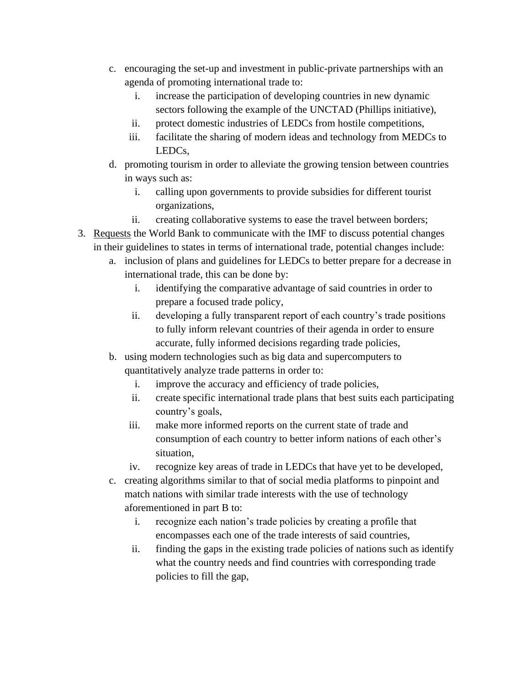- c. encouraging the set-up and investment in public-private partnerships with an agenda of promoting international trade to:
	- i. increase the participation of developing countries in new dynamic sectors following the example of the UNCTAD (Phillips initiative),
	- ii. protect domestic industries of LEDCs from hostile competitions,
	- iii. facilitate the sharing of modern ideas and technology from MEDCs to LEDCs,
- d. promoting tourism in order to alleviate the growing tension between countries in ways such as:
	- i. calling upon governments to provide subsidies for different tourist organizations,
	- ii. creating collaborative systems to ease the travel between borders;
- 3. Requests the World Bank to communicate with the IMF to discuss potential changes in their guidelines to states in terms of international trade, potential changes include:
	- a. inclusion of plans and guidelines for LEDCs to better prepare for a decrease in international trade, this can be done by:
		- i. identifying the comparative advantage of said countries in order to prepare a focused trade policy,
		- ii. developing a fully transparent report of each country's trade positions to fully inform relevant countries of their agenda in order to ensure accurate, fully informed decisions regarding trade policies,
	- b. using modern technologies such as big data and supercomputers to quantitatively analyze trade patterns in order to:
		- i. improve the accuracy and efficiency of trade policies,
		- ii. create specific international trade plans that best suits each participating country's goals,
		- iii. make more informed reports on the current state of trade and consumption of each country to better inform nations of each other's situation,
		- iv. recognize key areas of trade in LEDCs that have yet to be developed,
	- c. creating algorithms similar to that of social media platforms to pinpoint and match nations with similar trade interests with the use of technology aforementioned in part B to:
		- i. recognize each nation's trade policies by creating a profile that encompasses each one of the trade interests of said countries,
		- ii. finding the gaps in the existing trade policies of nations such as identify what the country needs and find countries with corresponding trade policies to fill the gap,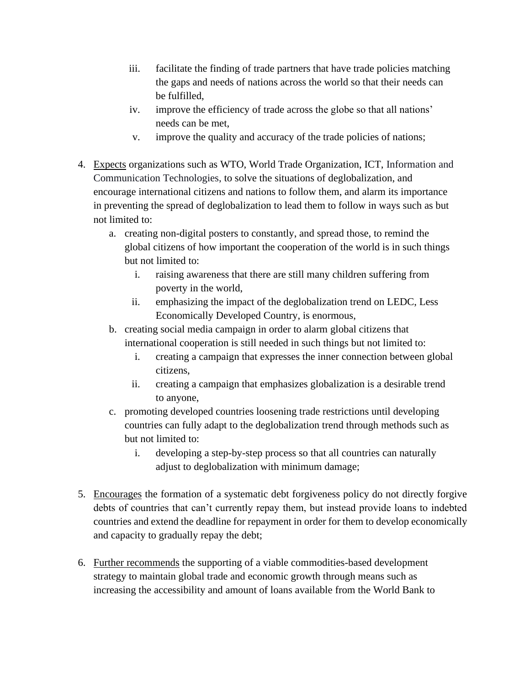- iii. facilitate the finding of trade partners that have trade policies matching the gaps and needs of nations across the world so that their needs can be fulfilled,
- iv. improve the efficiency of trade across the globe so that all nations' needs can be met,
- v. improve the quality and accuracy of the trade policies of nations;
- 4. Expects organizations such as WTO, World Trade Organization, ICT, Information and Communication Technologies, to solve the situations of deglobalization, and encourage international citizens and nations to follow them, and alarm its importance in preventing the spread of deglobalization to lead them to follow in ways such as but not limited to:
	- a. creating non-digital posters to constantly, and spread those, to remind the global citizens of how important the cooperation of the world is in such things but not limited to:
		- i. raising awareness that there are still many children suffering from poverty in the world,
		- ii. emphasizing the impact of the deglobalization trend on LEDC, Less Economically Developed Country, is enormous,
	- b. creating social media campaign in order to alarm global citizens that international cooperation is still needed in such things but not limited to:
		- i. creating a campaign that expresses the inner connection between global citizens,
		- ii. creating a campaign that emphasizes globalization is a desirable trend to anyone,
	- c. promoting developed countries loosening trade restrictions until developing countries can fully adapt to the deglobalization trend through methods such as but not limited to:
		- i. developing a step-by-step process so that all countries can naturally adjust to deglobalization with minimum damage;
- 5. Encourages the formation of a systematic debt forgiveness policy do not directly forgive debts of countries that can't currently repay them, but instead provide loans to indebted countries and extend the deadline for repayment in order for them to develop economically and capacity to gradually repay the debt;
- 6. Further recommends the supporting of a viable commodities-based development strategy to maintain global trade and economic growth through means such as increasing the accessibility and amount of loans available from the World Bank to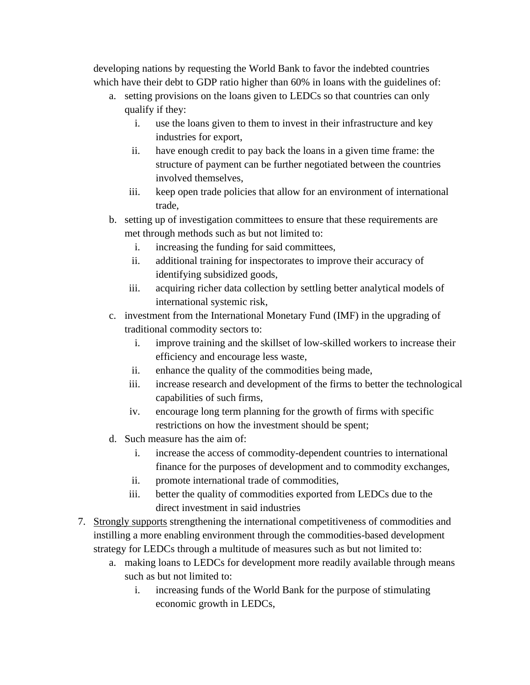developing nations by requesting the World Bank to favor the indebted countries which have their debt to GDP ratio higher than 60% in loans with the guidelines of:

- a. setting provisions on the loans given to LEDCs so that countries can only qualify if they:
	- i. use the loans given to them to invest in their infrastructure and key industries for export,
	- ii. have enough credit to pay back the loans in a given time frame: the structure of payment can be further negotiated between the countries involved themselves,
	- iii. keep open trade policies that allow for an environment of international trade,
- b. setting up of investigation committees to ensure that these requirements are met through methods such as but not limited to:
	- i. increasing the funding for said committees,
	- ii. additional training for inspectorates to improve their accuracy of identifying subsidized goods,
	- iii. acquiring richer data collection by settling better analytical models of international systemic risk,
- c. investment from the International Monetary Fund (IMF) in the upgrading of traditional commodity sectors to:
	- i. improve training and the skillset of low-skilled workers to increase their efficiency and encourage less waste,
	- ii. enhance the quality of the commodities being made,
	- iii. increase research and development of the firms to better the technological capabilities of such firms,
	- iv. encourage long term planning for the growth of firms with specific restrictions on how the investment should be spent;
- d. Such measure has the aim of:
	- i. increase the access of commodity-dependent countries to international finance for the purposes of development and to commodity exchanges,
	- ii. promote international trade of commodities,
	- iii. better the quality of commodities exported from LEDCs due to the direct investment in said industries
- 7. Strongly supports strengthening the international competitiveness of commodities and instilling a more enabling environment through the commodities-based development strategy for LEDCs through a multitude of measures such as but not limited to:
	- a. making loans to LEDCs for development more readily available through means such as but not limited to:
		- i. increasing funds of the World Bank for the purpose of stimulating economic growth in LEDCs,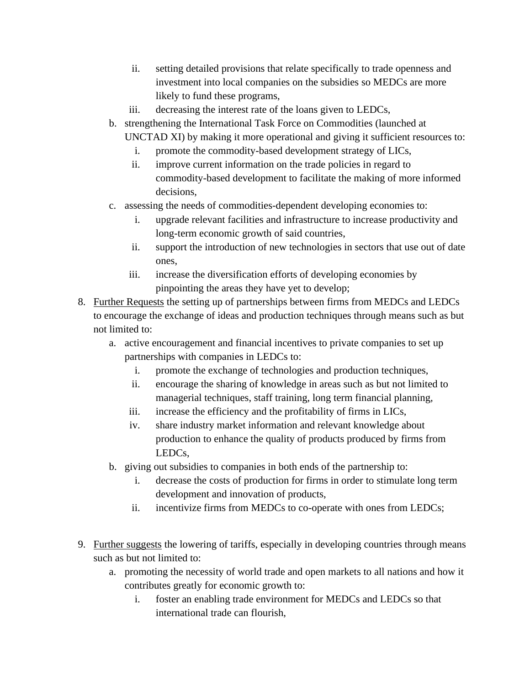- ii. setting detailed provisions that relate specifically to trade openness and investment into local companies on the subsidies so MEDCs are more likely to fund these programs,
- iii. decreasing the interest rate of the loans given to LEDCs,
- b. strengthening the International Task Force on Commodities (launched at UNCTAD XI) by making it more operational and giving it sufficient resources to:
	- i. promote the commodity-based development strategy of LICs,
	- ii. improve current information on the trade policies in regard to commodity-based development to facilitate the making of more informed decisions,
- c. assessing the needs of commodities-dependent developing economies to:
	- i. upgrade relevant facilities and infrastructure to increase productivity and long-term economic growth of said countries,
	- ii. support the introduction of new technologies in sectors that use out of date ones,
	- iii. increase the diversification efforts of developing economies by pinpointing the areas they have yet to develop;
- 8. Further Requests the setting up of partnerships between firms from MEDCs and LEDCs to encourage the exchange of ideas and production techniques through means such as but not limited to:
	- a. active encouragement and financial incentives to private companies to set up partnerships with companies in LEDCs to:
		- i. promote the exchange of technologies and production techniques,
		- ii. encourage the sharing of knowledge in areas such as but not limited to managerial techniques, staff training, long term financial planning,
		- iii. increase the efficiency and the profitability of firms in LICs,
		- iv. share industry market information and relevant knowledge about production to enhance the quality of products produced by firms from LEDCs,
	- b. giving out subsidies to companies in both ends of the partnership to:
		- i. decrease the costs of production for firms in order to stimulate long term development and innovation of products,
		- ii. incentivize firms from MEDCs to co-operate with ones from LEDCs;
- 9. Further suggests the lowering of tariffs, especially in developing countries through means such as but not limited to:
	- a. promoting the necessity of world trade and open markets to all nations and how it contributes greatly for economic growth to:
		- i. foster an enabling trade environment for MEDCs and LEDCs so that international trade can flourish,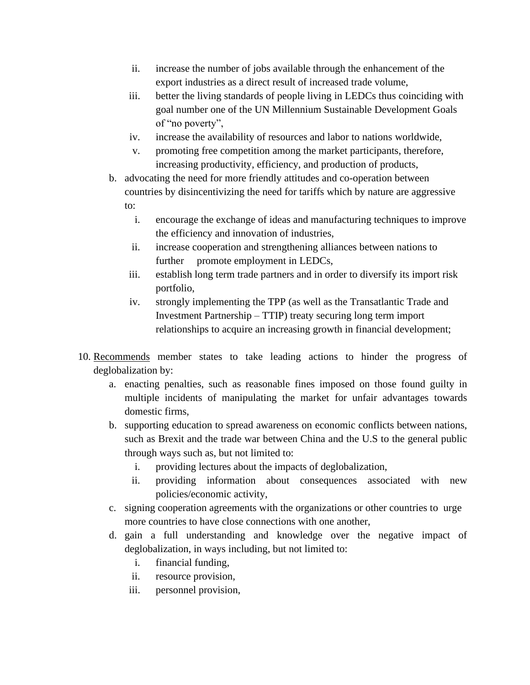- ii. increase the number of jobs available through the enhancement of the export industries as a direct result of increased trade volume,
- iii. better the living standards of people living in LEDCs thus coinciding with goal number one of the UN Millennium Sustainable Development Goals of "no poverty",
- iv. increase the availability of resources and labor to nations worldwide,
- v. promoting free competition among the market participants, therefore, increasing productivity, efficiency, and production of products,
- b. advocating the need for more friendly attitudes and co-operation between countries by disincentivizing the need for tariffs which by nature are aggressive to:
	- i. encourage the exchange of ideas and manufacturing techniques to improve the efficiency and innovation of industries,
	- ii. increase cooperation and strengthening alliances between nations to further promote employment in LEDCs,
	- iii. establish long term trade partners and in order to diversify its import risk portfolio,
	- iv. strongly implementing the TPP (as well as the Transatlantic Trade and Investment Partnership – TTIP) treaty securing long term import relationships to acquire an increasing growth in financial development;
- 10. Recommends member states to take leading actions to hinder the progress of deglobalization by:
	- a. enacting penalties, such as reasonable fines imposed on those found guilty in multiple incidents of manipulating the market for unfair advantages towards domestic firms,
	- b. supporting education to spread awareness on economic conflicts between nations, such as Brexit and the trade war between China and the U.S to the general public through ways such as, but not limited to:
		- i. providing lectures about the impacts of deglobalization,
		- ii. providing information about consequences associated with new policies/economic activity,
	- c. signing cooperation agreements with the organizations or other countries to urge more countries to have close connections with one another,
	- d. gain a full understanding and knowledge over the negative impact of deglobalization, in ways including, but not limited to:
		- i. financial funding,
		- ii. resource provision,
		- iii. personnel provision,